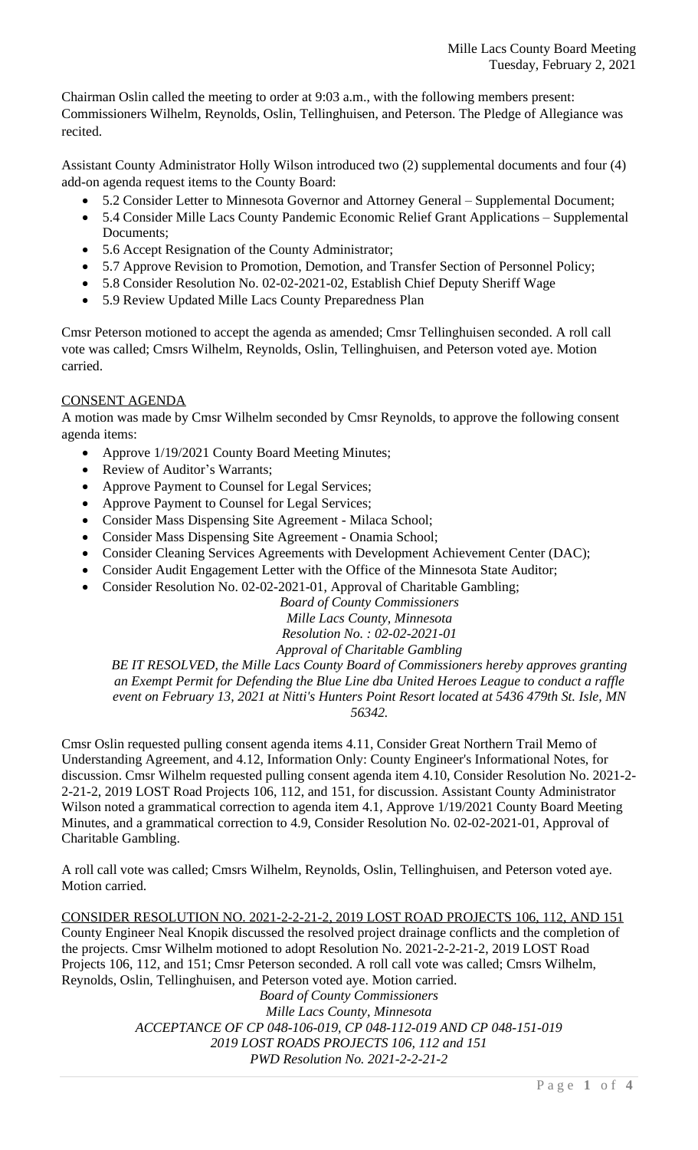Chairman Oslin called the meeting to order at 9:03 a.m., with the following members present: Commissioners Wilhelm, Reynolds, Oslin, Tellinghuisen, and Peterson. The Pledge of Allegiance was recited.

Assistant County Administrator Holly Wilson introduced two (2) supplemental documents and four (4) add-on agenda request items to the County Board:

- 5.2 Consider Letter to Minnesota Governor and Attorney General Supplemental Document;
- 5.4 Consider Mille Lacs County Pandemic Economic Relief Grant Applications Supplemental Documents;
- 5.6 Accept Resignation of the County Administrator;
- 5.7 Approve Revision to Promotion, Demotion, and Transfer Section of Personnel Policy;
- 5.8 Consider Resolution No. 02-02-2021-02, Establish Chief Deputy Sheriff Wage
- 5.9 Review Updated Mille Lacs County Preparedness Plan

Cmsr Peterson motioned to accept the agenda as amended; Cmsr Tellinghuisen seconded. A roll call vote was called; Cmsrs Wilhelm, Reynolds, Oslin, Tellinghuisen, and Peterson voted aye. Motion carried.

# CONSENT AGENDA

A motion was made by Cmsr Wilhelm seconded by Cmsr Reynolds, to approve the following consent agenda items:

- Approve 1/19/2021 County Board Meeting Minutes;
- Review of Auditor's Warrants;
- Approve Payment to Counsel for Legal Services;
- Approve Payment to Counsel for Legal Services;
- Consider Mass Dispensing Site Agreement Milaca School;
- Consider Mass Dispensing Site Agreement Onamia School;
- Consider Cleaning Services Agreements with Development Achievement Center (DAC);
- Consider Audit Engagement Letter with the Office of the Minnesota State Auditor;
- Consider Resolution No. 02-02-2021-01, Approval of Charitable Gambling;

*Board of County Commissioners*

*Mille Lacs County, Minnesota*

*Resolution No. : 02-02-2021-01*

*Approval of Charitable Gambling*

*BE IT RESOLVED, the Mille Lacs County Board of Commissioners hereby approves granting an Exempt Permit for Defending the Blue Line dba United Heroes League to conduct a raffle event on February 13, 2021 at Nitti's Hunters Point Resort located at 5436 479th St. Isle, MN 56342.*

Cmsr Oslin requested pulling consent agenda items 4.11, Consider Great Northern Trail Memo of Understanding Agreement, and 4.12, Information Only: County Engineer's Informational Notes, for discussion. Cmsr Wilhelm requested pulling consent agenda item 4.10, Consider Resolution No. 2021-2- 2-21-2, 2019 LOST Road Projects 106, 112, and 151, for discussion. Assistant County Administrator Wilson noted a grammatical correction to agenda item 4.1, Approve 1/19/2021 County Board Meeting Minutes, and a grammatical correction to 4.9, Consider Resolution No. 02-02-2021-01, Approval of Charitable Gambling.

A roll call vote was called; Cmsrs Wilhelm, Reynolds, Oslin, Tellinghuisen, and Peterson voted aye. Motion carried.

CONSIDER RESOLUTION NO. 2021-2-2-21-2, 2019 LOST ROAD PROJECTS 106, 112, AND 151 County Engineer Neal Knopik discussed the resolved project drainage conflicts and the completion of the projects. Cmsr Wilhelm motioned to adopt Resolution No. 2021-2-2-21-2, 2019 LOST Road Projects 106, 112, and 151; Cmsr Peterson seconded. A roll call vote was called; Cmsrs Wilhelm, Reynolds, Oslin, Tellinghuisen, and Peterson voted aye. Motion carried.

*Board of County Commissioners Mille Lacs County, Minnesota ACCEPTANCE OF CP 048-106-019, CP 048-112-019 AND CP 048-151-019 2019 LOST ROADS PROJECTS 106, 112 and 151 PWD Resolution No. 2021-2-2-21-2*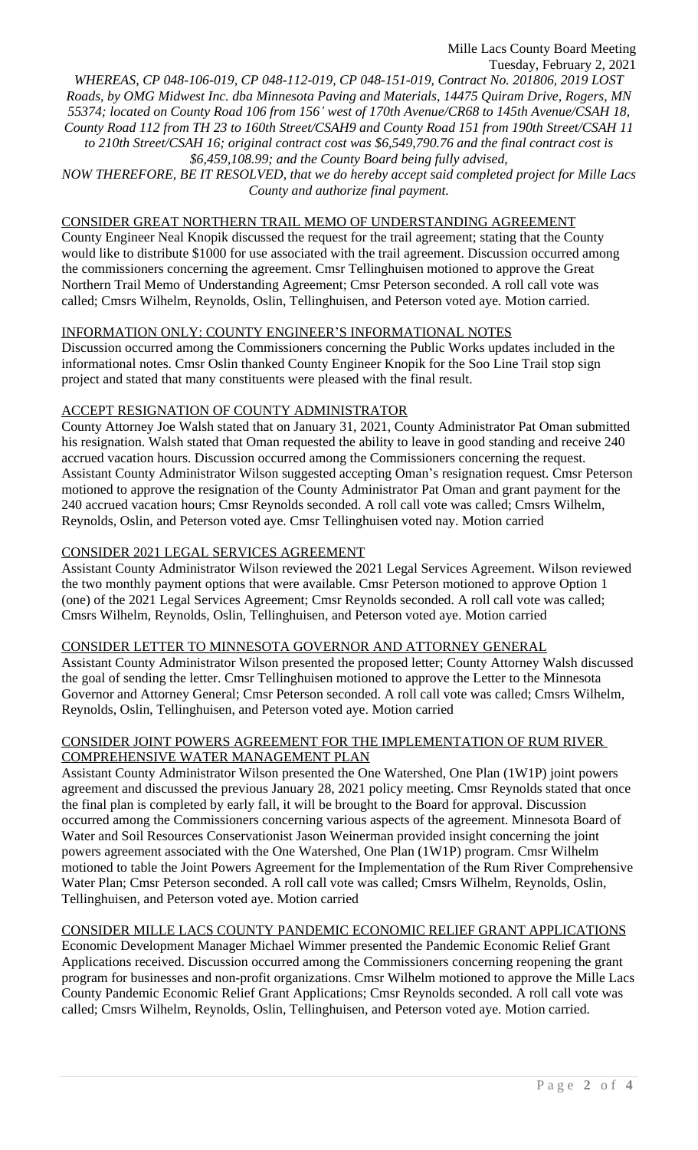*WHEREAS, CP 048-106-019, CP 048-112-019, CP 048-151-019, Contract No. 201806, 2019 LOST Roads, by OMG Midwest Inc. dba Minnesota Paving and Materials, 14475 Quiram Drive, Rogers, MN 55374; located on County Road 106 from 156' west of 170th Avenue/CR68 to 145th Avenue/CSAH 18, County Road 112 from TH 23 to 160th Street/CSAH9 and County Road 151 from 190th Street/CSAH 11 to 210th Street/CSAH 16; original contract cost was \$6,549,790.76 and the final contract cost is \$6,459,108.99; and the County Board being fully advised, NOW THEREFORE, BE IT RESOLVED, that we do hereby accept said completed project for Mille Lacs*

*County and authorize final payment.*

CONSIDER GREAT NORTHERN TRAIL MEMO OF UNDERSTANDING AGREEMENT

County Engineer Neal Knopik discussed the request for the trail agreement; stating that the County would like to distribute \$1000 for use associated with the trail agreement. Discussion occurred among the commissioners concerning the agreement. Cmsr Tellinghuisen motioned to approve the Great Northern Trail Memo of Understanding Agreement; Cmsr Peterson seconded. A roll call vote was called; Cmsrs Wilhelm, Reynolds, Oslin, Tellinghuisen, and Peterson voted aye. Motion carried.

# INFORMATION ONLY: COUNTY ENGINEER'S INFORMATIONAL NOTES

Discussion occurred among the Commissioners concerning the Public Works updates included in the informational notes. Cmsr Oslin thanked County Engineer Knopik for the Soo Line Trail stop sign project and stated that many constituents were pleased with the final result.

#### ACCEPT RESIGNATION OF COUNTY ADMINISTRATOR

County Attorney Joe Walsh stated that on January 31, 2021, County Administrator Pat Oman submitted his resignation. Walsh stated that Oman requested the ability to leave in good standing and receive 240 accrued vacation hours. Discussion occurred among the Commissioners concerning the request. Assistant County Administrator Wilson suggested accepting Oman's resignation request. Cmsr Peterson motioned to approve the resignation of the County Administrator Pat Oman and grant payment for the 240 accrued vacation hours; Cmsr Reynolds seconded. A roll call vote was called; Cmsrs Wilhelm, Reynolds, Oslin, and Peterson voted aye. Cmsr Tellinghuisen voted nay. Motion carried

# CONSIDER 2021 LEGAL SERVICES AGREEMENT

Assistant County Administrator Wilson reviewed the 2021 Legal Services Agreement. Wilson reviewed the two monthly payment options that were available. Cmsr Peterson motioned to approve Option 1 (one) of the 2021 Legal Services Agreement; Cmsr Reynolds seconded. A roll call vote was called; Cmsrs Wilhelm, Reynolds, Oslin, Tellinghuisen, and Peterson voted aye. Motion carried

# CONSIDER LETTER TO MINNESOTA GOVERNOR AND ATTORNEY GENERAL

Assistant County Administrator Wilson presented the proposed letter; County Attorney Walsh discussed the goal of sending the letter. Cmsr Tellinghuisen motioned to approve the Letter to the Minnesota Governor and Attorney General; Cmsr Peterson seconded. A roll call vote was called; Cmsrs Wilhelm, Reynolds, Oslin, Tellinghuisen, and Peterson voted aye. Motion carried

# CONSIDER JOINT POWERS AGREEMENT FOR THE IMPLEMENTATION OF RUM RIVER COMPREHENSIVE WATER MANAGEMENT PLAN

Assistant County Administrator Wilson presented the One Watershed, One Plan (1W1P) joint powers agreement and discussed the previous January 28, 2021 policy meeting. Cmsr Reynolds stated that once the final plan is completed by early fall, it will be brought to the Board for approval. Discussion occurred among the Commissioners concerning various aspects of the agreement. Minnesota Board of Water and Soil Resources Conservationist Jason Weinerman provided insight concerning the joint powers agreement associated with the One Watershed, One Plan (1W1P) program. Cmsr Wilhelm motioned to table the Joint Powers Agreement for the Implementation of the Rum River Comprehensive Water Plan; Cmsr Peterson seconded. A roll call vote was called; Cmsrs Wilhelm, Reynolds, Oslin, Tellinghuisen, and Peterson voted aye. Motion carried

# CONSIDER MILLE LACS COUNTY PANDEMIC ECONOMIC RELIEF GRANT APPLICATIONS

Economic Development Manager Michael Wimmer presented the Pandemic Economic Relief Grant Applications received. Discussion occurred among the Commissioners concerning reopening the grant program for businesses and non-profit organizations. Cmsr Wilhelm motioned to approve the Mille Lacs County Pandemic Economic Relief Grant Applications; Cmsr Reynolds seconded. A roll call vote was called; Cmsrs Wilhelm, Reynolds, Oslin, Tellinghuisen, and Peterson voted aye. Motion carried.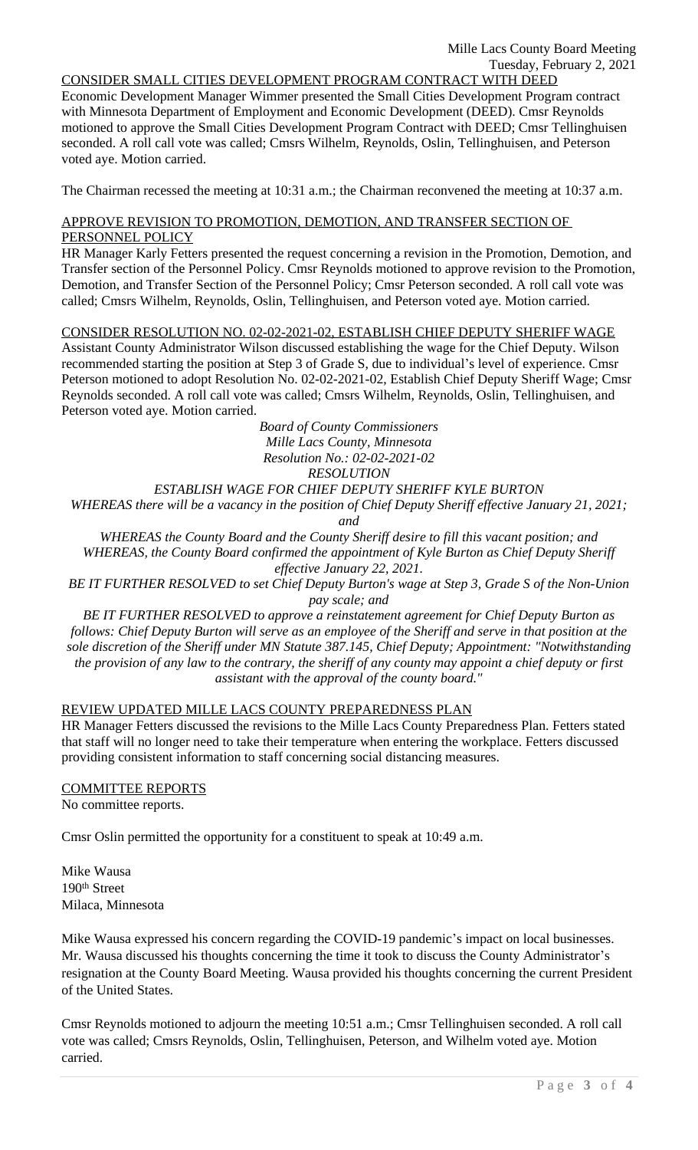#### CONSIDER SMALL CITIES DEVELOPMENT PROGRAM CONTRACT WITH DEED

Economic Development Manager Wimmer presented the Small Cities Development Program contract with Minnesota Department of Employment and Economic Development (DEED). Cmsr Reynolds motioned to approve the Small Cities Development Program Contract with DEED; Cmsr Tellinghuisen seconded. A roll call vote was called; Cmsrs Wilhelm, Reynolds, Oslin, Tellinghuisen, and Peterson voted aye. Motion carried.

The Chairman recessed the meeting at 10:31 a.m.; the Chairman reconvened the meeting at 10:37 a.m.

#### APPROVE REVISION TO PROMOTION, DEMOTION, AND TRANSFER SECTION OF PERSONNEL POLICY

HR Manager Karly Fetters presented the request concerning a revision in the Promotion, Demotion, and Transfer section of the Personnel Policy. Cmsr Reynolds motioned to approve revision to the Promotion, Demotion, and Transfer Section of the Personnel Policy; Cmsr Peterson seconded. A roll call vote was called; Cmsrs Wilhelm, Reynolds, Oslin, Tellinghuisen, and Peterson voted aye. Motion carried.

# CONSIDER RESOLUTION NO. 02-02-2021-02, ESTABLISH CHIEF DEPUTY SHERIFF WAGE

Assistant County Administrator Wilson discussed establishing the wage for the Chief Deputy. Wilson recommended starting the position at Step 3 of Grade S, due to individual's level of experience. Cmsr Peterson motioned to adopt Resolution No. 02-02-2021-02, Establish Chief Deputy Sheriff Wage; Cmsr Reynolds seconded. A roll call vote was called; Cmsrs Wilhelm, Reynolds, Oslin, Tellinghuisen, and Peterson voted aye. Motion carried.

> *Board of County Commissioners Mille Lacs County, Minnesota Resolution No.: 02-02-2021-02 RESOLUTION*

# *ESTABLISH WAGE FOR CHIEF DEPUTY SHERIFF KYLE BURTON*

*WHEREAS there will be a vacancy in the position of Chief Deputy Sheriff effective January 21, 2021; and*

*WHEREAS the County Board and the County Sheriff desire to fill this vacant position; and WHEREAS, the County Board confirmed the appointment of Kyle Burton as Chief Deputy Sheriff effective January 22, 2021.*

*BE IT FURTHER RESOLVED to set Chief Deputy Burton's wage at Step 3, Grade S of the Non-Union pay scale; and*

*BE IT FURTHER RESOLVED to approve a reinstatement agreement for Chief Deputy Burton as follows: Chief Deputy Burton will serve as an employee of the Sheriff and serve in that position at the sole discretion of the Sheriff under MN Statute 387.145, Chief Deputy; Appointment: "Notwithstanding the provision of any law to the contrary, the sheriff of any county may appoint a chief deputy or first assistant with the approval of the county board."*

# REVIEW UPDATED MILLE LACS COUNTY PREPAREDNESS PLAN

HR Manager Fetters discussed the revisions to the Mille Lacs County Preparedness Plan. Fetters stated that staff will no longer need to take their temperature when entering the workplace. Fetters discussed providing consistent information to staff concerning social distancing measures.

# COMMITTEE REPORTS

No committee reports.

Cmsr Oslin permitted the opportunity for a constituent to speak at 10:49 a.m.

Mike Wausa 190th Street Milaca, Minnesota

Mike Wausa expressed his concern regarding the COVID-19 pandemic's impact on local businesses. Mr. Wausa discussed his thoughts concerning the time it took to discuss the County Administrator's resignation at the County Board Meeting. Wausa provided his thoughts concerning the current President of the United States.

Cmsr Reynolds motioned to adjourn the meeting 10:51 a.m.; Cmsr Tellinghuisen seconded. A roll call vote was called; Cmsrs Reynolds, Oslin, Tellinghuisen, Peterson, and Wilhelm voted aye. Motion carried.